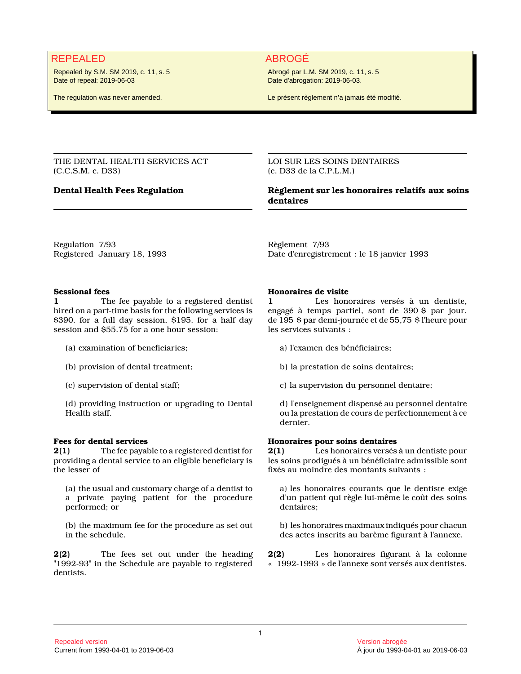# REPEALED ABROGÉ

Repealed by S.M. SM 2019, c. 11, s. 5 Date of repeal: 2019-06-03

The regulation was never amended.

Abrogé par L.M. SM 2019, c. 11, s. 5 Date d'abrogation: 2019-06-03.

Le présent règlement n'a jamais été modifié.

THE DENTAL HEALTH SERVICES ACT (C.C.S.M. c. D33)

LOI SUR LES SOINS DENTAIRES (c. D33 de la C.P.L.M.)

# **Dental Health Fees Regulation Règlement sur les honoraires relatifs aux soins dentaires**

Regulation 7/93 Registered January 18, 1993 Règlement 7/93 Date d'enregistrement : le 18 janvier 1993

# **Sessional fees**

**1** The fee payable to a registered dentist hired on a part-time basis for the following services is \$390. for a full day session, \$195. for a half day session and \$55.75 for a one hour session:

- (a) examination of beneficiaries;
- (b) provision of dental treatment;
- (c) supervision of dental staff;

(d) providing instruction or upgrading to Dental Health staff.

# **Fees for dental services**

**2(1)** The fee payable to a registered dentist for providing a dental service to an eligible beneficiary is the lesser of

(a) the usual and customary charge of a dentist to a private paying patient for the procedure performed; or

(b) the maximum fee for the procedure as set out in the schedule.

**2(2)** The fees set out under the heading "1992-93" in the Schedule are payable to registered dentists.

#### **Honoraires de visite**

**1** Les honoraires versés à un dentiste, engagé à temps partiel, sont de 390 \$ par jour, de 195 \$ par demi-journée et de 55,75 \$ l'heure pour les services suivants :

- a) l'examen des bénéficiaires;
- b) la prestation de soins dentaires;
- c) la supervision du personnel dentaire;

d) l'enseignement dispensé au personnel dentaire ou la prestation de cours de perfectionnement à ce dernier.

## **Honoraires pour soins dentaires**

**2(1)** Les honoraires versés à un dentiste pour les soins prodigués à un bénéficiaire admissible sont fixés au moindre des montants suivants :

a) les honoraires courants que le dentiste exige d'un patient qui règle lui-même le coût des soins dentaires;

b) les honoraires maximaux indiqués pour chacun des actes inscrits au barème figurant à l'annexe.

**2(2)** Les honoraires figurant à la colonne « 1992-1993 » de l'annexe sont versés aux dentistes.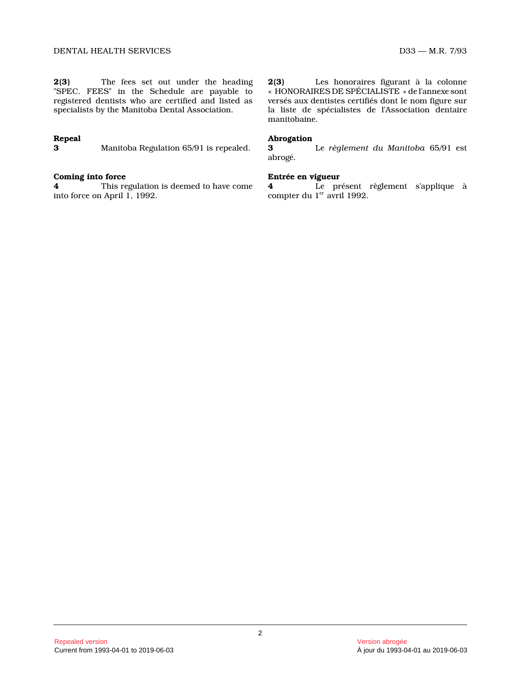**2(3)** The fees set out under the heading "SPEC. FEES" in the Schedule are payable to registered dentists who are certified and listed as specialists by the Manitoba Dental Association.

# **Repeal**

**3** Manitoba Regulation 65/91 is repealed.

# **Coming into force**

**4** This regulation is deemed to have come into force on April 1, 1992.

**2(3)** Les honoraires figurant à la colonne « HONORAIRES DE SPÉCIALISTE » de l'annexe sont versés aux dentistes certifiés dont le nom figure su r la liste de spécialistes de l'Association dentaire manitobaine.

### **Abrogation**

**3** Le *règlement du Manitoba* 65/91 est abrogé.

# **Entrée en vigueur**

**4** Le présent règlement s'applique à compter du 1<sup>er</sup> avril 1992.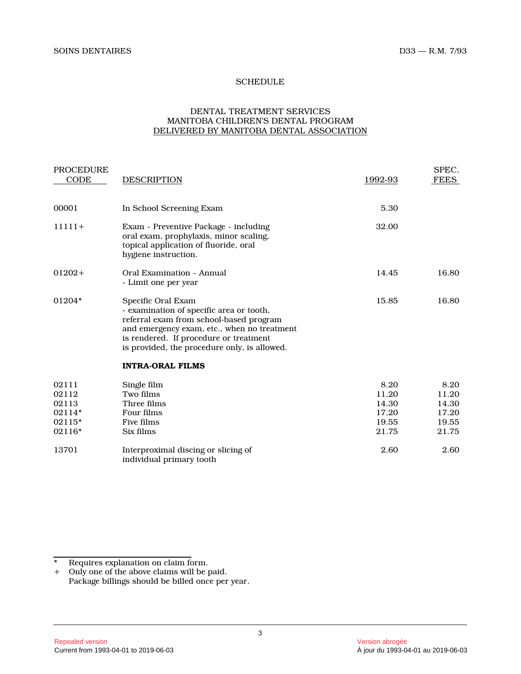# **SCHEDULE**

# DENTAL TREATMENT SERVICES MANITOBA CHILDREN'S DENTAL PROGRAM DELIVERED BY MANITOBA DENTAL ASSOCIATION

| <b>PROCEDURE</b><br>CODE                              | <b>DESCRIPTION</b>                                                                                                                                                                                                                                 | 1992-93                                           | SPEC.<br><b>FEES</b>                              |
|-------------------------------------------------------|----------------------------------------------------------------------------------------------------------------------------------------------------------------------------------------------------------------------------------------------------|---------------------------------------------------|---------------------------------------------------|
| 00001                                                 | In School Screening Exam                                                                                                                                                                                                                           | 5.30                                              |                                                   |
| $11111+$                                              | Exam - Preventive Package - including<br>oral exam, prophylaxis, minor scaling,<br>topical application of fluoride, oral<br>hygiene instruction.                                                                                                   | 32.00                                             |                                                   |
| $01202+$                                              | Oral Examination - Annual<br>- Limit one per year                                                                                                                                                                                                  | 14.45                                             | 16.80                                             |
| 01204*                                                | Specific Oral Exam<br>- examination of specific area or tooth,<br>referral exam from school-based program<br>and emergency exam, etc., when no treatment<br>is rendered. If procedure or treatment<br>is provided, the procedure only, is allowed. | 15.85                                             | 16.80                                             |
|                                                       | <b>INTRA-ORAL FILMS</b>                                                                                                                                                                                                                            |                                                   |                                                   |
| 02111<br>02112<br>02113<br>02114*<br>02115*<br>02116* | Single film<br>Two films<br>Three films<br>Four films<br>Five films<br>Six films                                                                                                                                                                   | 8.20<br>11.20<br>14.30<br>17.20<br>19.55<br>21.75 | 8.20<br>11.20<br>14.30<br>17.20<br>19.55<br>21.75 |
| 13701                                                 | Interproximal discing or slicing of<br>individual primary tooth                                                                                                                                                                                    | 2.60                                              | 2.60                                              |

<sup>\*</sup> Requires explanation on claim form.

<sup>+</sup> Only one of the above claims will be paid. Package billings should be billed once per year.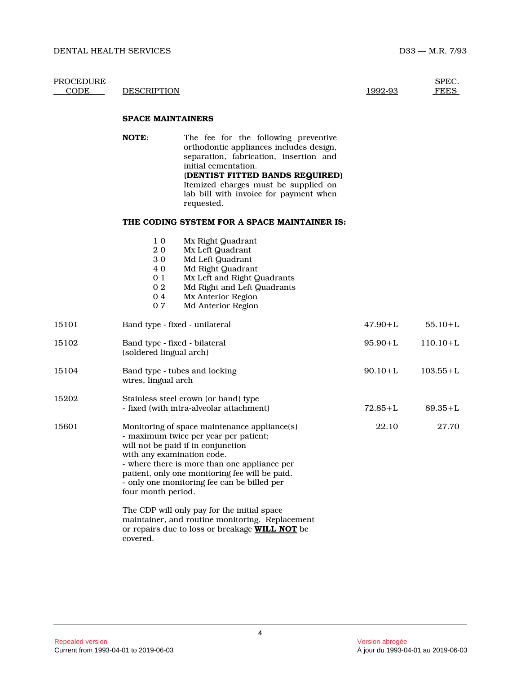| PROCEDURE<br>CODE | <b>DESCRIPTION</b>                                       |                                                                                                                                                                                                                                                                                                                             | 1992-93     | SPEC.<br><b>FEES</b> |
|-------------------|----------------------------------------------------------|-----------------------------------------------------------------------------------------------------------------------------------------------------------------------------------------------------------------------------------------------------------------------------------------------------------------------------|-------------|----------------------|
|                   | <b>SPACE MAINTAINERS</b>                                 |                                                                                                                                                                                                                                                                                                                             |             |                      |
|                   | <b>NOTE:</b>                                             | The fee for the following preventive<br>orthodontic appliances includes design,<br>separation, fabrication, insertion and<br>initial cementation.<br>(DENTIST FITTED BANDS REQUIRED)<br>Itemized charges must be supplied on<br>lab bill with invoice for payment when<br>requested.                                        |             |                      |
|                   |                                                          | THE CODING SYSTEM FOR A SPACE MAINTAINER IS:                                                                                                                                                                                                                                                                                |             |                      |
|                   | 1 0<br>20<br>30<br>40<br>0 1<br>$0\;2$<br>04<br>07       | Mx Right Quadrant<br>Mx Left Quadrant<br>Md Left Quadrant<br>Md Right Quadrant<br>Mx Left and Right Quadrants<br>Md Right and Left Quadrants<br>Mx Anterior Region<br>Md Anterior Region                                                                                                                                    |             |                      |
| 15101             |                                                          | Band type - fixed - unilateral                                                                                                                                                                                                                                                                                              | $47.90 + L$ | $55.10 + L$          |
| 15102             | Band type - fixed - bilateral<br>(soldered lingual arch) |                                                                                                                                                                                                                                                                                                                             | $95.90 + L$ | $110.10 + L$         |
| 15104             | wires, lingual arch                                      | Band type - tubes and locking                                                                                                                                                                                                                                                                                               | $90.10 + L$ | $103.55 + L$         |
| 15202             |                                                          | Stainless steel crown (or band) type<br>- fixed (with intra-alveolar attachment)                                                                                                                                                                                                                                            | $72.85 + L$ | $89.35 + L$          |
| 15601             | with any examination code.<br>four month period.         | Monitoring of space maintenance appliance(s)<br>- maximum twice per year per patient;<br>will not be paid if in conjunction<br>- where there is more than one appliance per<br>patient, only one monitoring fee will be paid.<br>- only one monitoring fee can be billed per<br>The CDP will only pay for the initial space | 22.10       | 27.70                |
|                   | covered.                                                 | maintainer, and routine monitoring. Replacement<br>or repairs due to loss or breakage WILL NOT be                                                                                                                                                                                                                           |             |                      |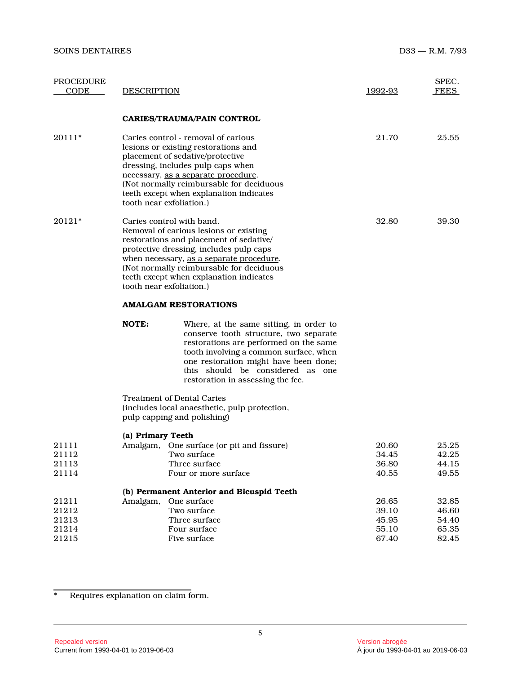| PROCEDURE<br>CODE                         | <b>DESCRIPTION</b>          |                                                                                                                                                                                                                                                                                              | 1992-93                                   | SPEC.<br><b>FEES</b>                      |  |
|-------------------------------------------|-----------------------------|----------------------------------------------------------------------------------------------------------------------------------------------------------------------------------------------------------------------------------------------------------------------------------------------|-------------------------------------------|-------------------------------------------|--|
|                                           |                             | <b>CARIES/TRAUMA/PAIN CONTROL</b>                                                                                                                                                                                                                                                            |                                           |                                           |  |
| 20111*                                    | tooth near exfoliation.)    | Caries control - removal of carious<br>lesions or existing restorations and<br>placement of sedative/protective<br>dressing, includes pulp caps when<br>necessary, as a separate procedure.<br>(Not normally reimbursable for deciduous<br>teeth except when explanation indicates           | 21.70                                     | 25.55                                     |  |
| 20121*                                    | tooth near exfoliation.)    | Caries control with band.<br>Removal of carious lesions or existing<br>restorations and placement of sedative/<br>protective dressing, includes pulp caps<br>when necessary, as a separate procedure.<br>(Not normally reimbursable for deciduous<br>teeth except when explanation indicates | 32.80                                     | 39.30                                     |  |
|                                           | <b>AMALGAM RESTORATIONS</b> |                                                                                                                                                                                                                                                                                              |                                           |                                           |  |
|                                           | <b>NOTE:</b>                | Where, at the same sitting, in order to<br>conserve tooth structure, two separate<br>restorations are performed on the same<br>tooth involving a common surface, when<br>one restoration might have been done;<br>this should be considered as one<br>restoration in assessing the fee.      |                                           |                                           |  |
|                                           |                             | <b>Treatment of Dental Caries</b><br>(includes local anaesthetic, pulp protection,<br>pulp capping and polishing)                                                                                                                                                                            |                                           |                                           |  |
| 21111<br>21112<br>21113<br>21114          | (a) Primary Teeth           | Amalgam, One surface (or pit and fissure)<br>Two surface<br>Three surface<br>Four or more surface                                                                                                                                                                                            | 20.60<br>34.45<br>36.80<br>40.55          | 25.25<br>42.25<br>44.15<br>49.55          |  |
|                                           |                             | (b) Permanent Anterior and Bicuspid Teeth                                                                                                                                                                                                                                                    |                                           |                                           |  |
| 21211<br>21212<br>21213<br>21214<br>21215 | Amalgam,                    | One surface<br>Two surface<br>Three surface<br>Four surface<br>Five surface                                                                                                                                                                                                                  | 26.65<br>39.10<br>45.95<br>55.10<br>67.40 | 32.85<br>46.60<br>54.40<br>65.35<br>82.45 |  |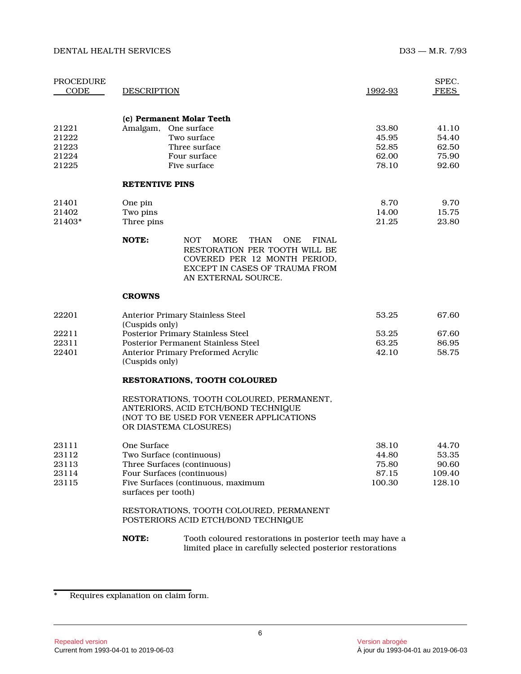#### DENTAL HEALTH SERVICES D33 — M.R. 7/93

| PROCEDURE<br>CODE                         | <b>DESCRIPTION</b>                                                                                                                                                                                        | 1992-93                                    | SPEC.<br><b>FEES</b>                        |
|-------------------------------------------|-----------------------------------------------------------------------------------------------------------------------------------------------------------------------------------------------------------|--------------------------------------------|---------------------------------------------|
| 21221<br>21222<br>21223<br>21224<br>21225 | (c) Permanent Molar Teeth<br>Amalgam,<br>One surface<br>Two surface<br>Three surface<br>Four surface<br>Five surface                                                                                      | 33.80<br>45.95<br>52.85<br>62.00<br>78.10  | 41.10<br>54.40<br>62.50<br>75.90<br>92.60   |
|                                           | <b>RETENTIVE PINS</b>                                                                                                                                                                                     |                                            |                                             |
| 21401<br>21402<br>21403*                  | One pin<br>Two pins<br>Three pins                                                                                                                                                                         | 8.70<br>14.00<br>21.25                     | 9.70<br>15.75<br>23.80                      |
|                                           | NOTE:<br><b>NOT</b><br><b>MORE</b><br><b>THAN</b><br><b>ONE</b><br><b>FINAL</b><br>RESTORATION PER TOOTH WILL BE<br>COVERED PER 12 MONTH PERIOD,<br>EXCEPT IN CASES OF TRAUMA FROM<br>AN EXTERNAL SOURCE. |                                            |                                             |
|                                           | <b>CROWNS</b>                                                                                                                                                                                             |                                            |                                             |
| 22201                                     | <b>Anterior Primary Stainless Steel</b><br>(Cuspids only)                                                                                                                                                 | 53.25                                      | 67.60                                       |
| 22211                                     | Posterior Primary Stainless Steel                                                                                                                                                                         | 53.25                                      | 67.60                                       |
| 22311<br>22401                            | Posterior Permanent Stainless Steel<br><b>Anterior Primary Preformed Acrylic</b><br>(Cuspids only)                                                                                                        | 63.25<br>42.10                             | 86.95<br>58.75                              |
|                                           | <b>RESTORATIONS, TOOTH COLOURED</b>                                                                                                                                                                       |                                            |                                             |
|                                           | RESTORATIONS, TOOTH COLOURED, PERMANENT,<br>ANTERIORS, ACID ETCH/BOND TECHNIQUE<br>(NOT TO BE USED FOR VENEER APPLICATIONS<br>OR DIASTEMA CLOSURES)                                                       |                                            |                                             |
| 23111<br>23112<br>23113<br>23114<br>23115 | One Surface<br>Two Surface (continuous)<br>Three Surfaces (continuous)<br>Four Surfaces (continuous)<br>Five Surfaces (continuous, maximum                                                                | 38.10<br>44.80<br>75.80<br>87.15<br>100.30 | 44.70<br>53.35<br>90.60<br>109.40<br>128.10 |

# RESTORATIONS, TOOTH COLOURED, PERMANENT POSTERIORS ACID ETCH/BOND TECHNIQUE

**NOTE:** Tooth coloured restorations in posterior teeth may have a limited place in carefully selected posterior restorations

surfaces per tooth)

<sup>\*</sup> Requires explanation on claim form.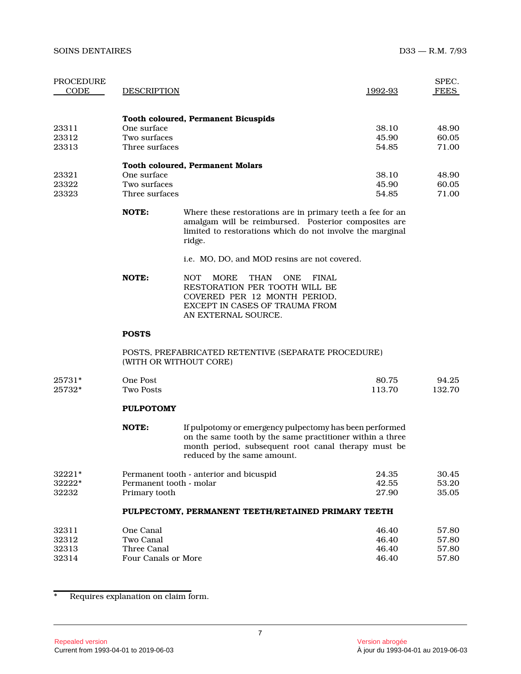| PROCEDURE<br><b>CODE</b> | <b>DESCRIPTION</b>     |                                                                                                                                                                                                  | 1992-93 | SPEC.<br><b>FEES</b> |
|--------------------------|------------------------|--------------------------------------------------------------------------------------------------------------------------------------------------------------------------------------------------|---------|----------------------|
|                          |                        | <b>Tooth coloured, Permanent Bicuspids</b>                                                                                                                                                       |         |                      |
| 23311                    | One surface            |                                                                                                                                                                                                  | 38.10   | 48.90                |
| 23312                    | Two surfaces           |                                                                                                                                                                                                  | 45.90   | 60.05                |
| 23313                    | Three surfaces         |                                                                                                                                                                                                  | 54.85   | 71.00                |
|                          |                        | <b>Tooth coloured, Permanent Molars</b>                                                                                                                                                          |         |                      |
| 23321                    | One surface            |                                                                                                                                                                                                  | 38.10   | 48.90                |
| 23322                    | Two surfaces           |                                                                                                                                                                                                  | 45.90   | 60.05                |
| 23323                    | Three surfaces         |                                                                                                                                                                                                  | 54.85   | 71.00                |
|                          | NOTE:                  | Where these restorations are in primary teeth a fee for an<br>amalgam will be reimbursed. Posterior composites are<br>limited to restorations which do not involve the marginal<br>ridge.        |         |                      |
|                          |                        | i.e. MO, DO, and MOD resins are not covered.                                                                                                                                                     |         |                      |
|                          | NOTE:                  | <b>NOT</b><br><b>MORE</b><br><b>THAN</b><br><b>ONE</b><br><b>FINAL</b><br>RESTORATION PER TOOTH WILL BE<br>COVERED PER 12 MONTH PERIOD.<br>EXCEPT IN CASES OF TRAUMA FROM<br>AN EXTERNAL SOURCE. |         |                      |
|                          | <b>POSTS</b>           |                                                                                                                                                                                                  |         |                      |
|                          | (WITH OR WITHOUT CORE) | POSTS, PREFABRICATED RETENTIVE (SEPARATE PROCEDURE)                                                                                                                                              |         |                      |
| 25731*                   | One Post               |                                                                                                                                                                                                  | 80.75   | 94.25                |

| 25732* | Two Posts | 13.70 | 132.70 |
|--------|-----------|-------|--------|
|        |           |       |        |

# **PULPOTOMY**

| NOTE: | If pulpotomy or emergency pulpectomy has been performed   |  |  |  |  |
|-------|-----------------------------------------------------------|--|--|--|--|
|       | on the same tooth by the same practitioner within a three |  |  |  |  |
|       | month period, subsequent root canal therapy must be       |  |  |  |  |
|       | reduced by the same amount.                               |  |  |  |  |

| $32221*$ | Permanent tooth - anterior and bicuspid | 24.35 | 30.45 |
|----------|-----------------------------------------|-------|-------|
| 32222*   | Permanent tooth - molar                 | 42.55 | 53.20 |
| 32232    | Primary tooth                           | 27.90 | 35.05 |

# **PULPECTOMY, PERMANENT TEETH/RETAINED PRIMARY TEETH**

| 32311          | One Canal                | 46.40          | 57.80          |
|----------------|--------------------------|----------------|----------------|
| 32312<br>32313 | Two Canal<br>Three Canal | 46.40<br>46.40 | 57.80<br>57.80 |
| 32314          | Four Canals or More      | 46.40          | 57.80          |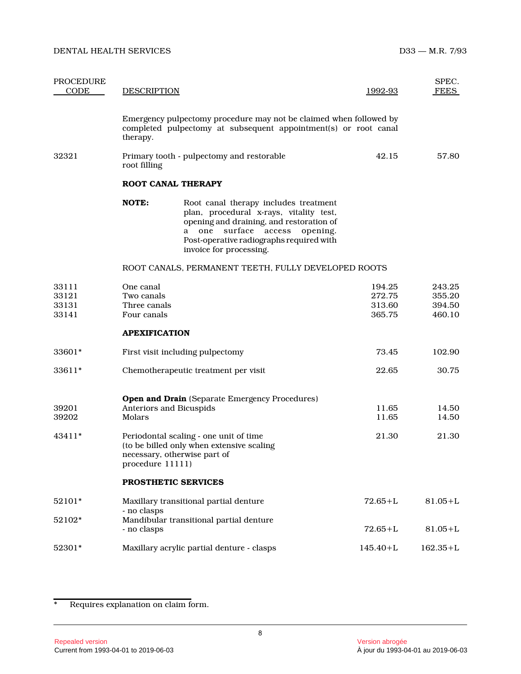| <b>PROCEDURE</b><br>CODE         | <b>DESCRIPTION</b>                                     |                                                                                                                                                                                                                                         | 1992-93                              | SPEC.<br><b>FEES</b>                 |
|----------------------------------|--------------------------------------------------------|-----------------------------------------------------------------------------------------------------------------------------------------------------------------------------------------------------------------------------------------|--------------------------------------|--------------------------------------|
|                                  | therapy.                                               | Emergency pulpectomy procedure may not be claimed when followed by<br>completed pulpectomy at subsequent appointment(s) or root canal                                                                                                   |                                      |                                      |
| 32321                            | root filling                                           | Primary tooth - pulpectomy and restorable                                                                                                                                                                                               | 42.15                                | 57.80                                |
|                                  |                                                        | <b>ROOT CANAL THERAPY</b>                                                                                                                                                                                                               |                                      |                                      |
|                                  | NOTE:                                                  | Root canal therapy includes treatment<br>plan, procedural x-rays, vitality test,<br>opening and draining, and restoration of<br>a one surface<br>access opening.<br>Post-operative radiographs required with<br>invoice for processing. |                                      |                                      |
|                                  |                                                        | ROOT CANALS, PERMANENT TEETH, FULLY DEVELOPED ROOTS                                                                                                                                                                                     |                                      |                                      |
| 33111<br>33121<br>33131<br>33141 | One canal<br>Two canals<br>Three canals<br>Four canals |                                                                                                                                                                                                                                         | 194.25<br>272.75<br>313.60<br>365.75 | 243.25<br>355.20<br>394.50<br>460.10 |
|                                  | <b>APEXIFICATION</b>                                   |                                                                                                                                                                                                                                         |                                      |                                      |
| 33601*                           |                                                        | First visit including pulpectomy                                                                                                                                                                                                        | 73.45                                | 102.90                               |
| 33611*                           |                                                        | Chemotherapeutic treatment per visit                                                                                                                                                                                                    | 22.65                                | 30.75                                |
| 39201<br>39202                   | Molars                                                 | <b>Open and Drain</b> (Separate Emergency Procedures)<br>Anteriors and Bicuspids                                                                                                                                                        | 11.65<br>11.65                       | 14.50<br>14.50                       |
| 43411*                           | procedure 11111)                                       | Periodontal scaling - one unit of time<br>(to be billed only when extensive scaling<br>necessary, otherwise part of                                                                                                                     | 21.30                                | 21.30                                |
|                                  |                                                        | PROSTHETIC SERVICES                                                                                                                                                                                                                     |                                      |                                      |
| 52101*                           |                                                        | Maxillary transitional partial denture                                                                                                                                                                                                  | $72.65 + L$                          | $81.05 + L$                          |
| 52102*                           | - no clasps<br>- no clasps                             | Mandibular transitional partial denture                                                                                                                                                                                                 | $72.65 + L$                          | $81.05 + L$                          |
| 52301*                           |                                                        | Maxillary acrylic partial denture - clasps                                                                                                                                                                                              | $145.40 + L$                         | $162.35 + L$                         |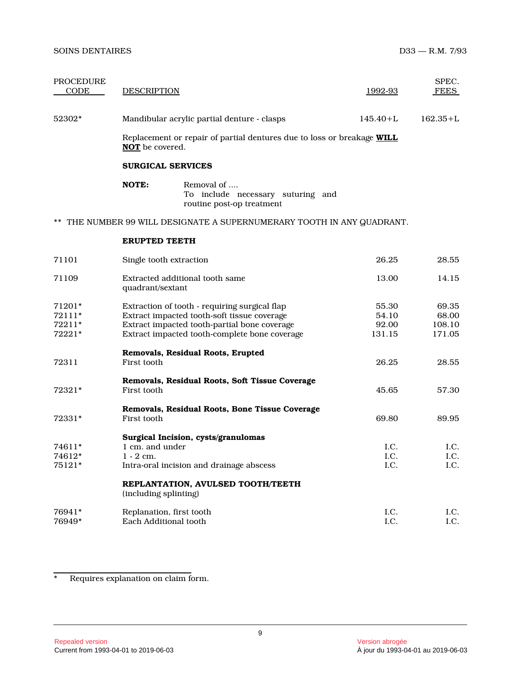| <b>PROCEDURE</b><br>CODE             | <b>DESCRIPTION</b>             |                                                                                                                                                                                               | 1992-93                           | SPEC.<br><b>FEES</b>               |
|--------------------------------------|--------------------------------|-----------------------------------------------------------------------------------------------------------------------------------------------------------------------------------------------|-----------------------------------|------------------------------------|
| 52302*                               |                                | Mandibular acrylic partial denture - clasps                                                                                                                                                   | $145.40 + L$                      | $162.35 + L$                       |
|                                      | NOT be covered.                | Replacement or repair of partial dentures due to loss or breakage WILL                                                                                                                        |                                   |                                    |
|                                      |                                | <b>SURGICAL SERVICES</b>                                                                                                                                                                      |                                   |                                    |
|                                      | NOTE:                          | Removal of<br>To include necessary suturing and<br>routine post-op treatment                                                                                                                  |                                   |                                    |
|                                      |                                | THE NUMBER 99 WILL DESIGNATE A SUPERNUMERARY TOOTH IN ANY QUADRANT.                                                                                                                           |                                   |                                    |
|                                      | <b>ERUPTED TEETH</b>           |                                                                                                                                                                                               |                                   |                                    |
| 71101                                |                                | Single tooth extraction                                                                                                                                                                       | 26.25                             | 28.55                              |
| 71109                                | quadrant/sextant               | Extracted additional tooth same                                                                                                                                                               | 13.00                             | 14.15                              |
| 71201*<br>72111*<br>72211*<br>72221* |                                | Extraction of tooth - requiring surgical flap<br>Extract impacted tooth-soft tissue coverage<br>Extract impacted tooth-partial bone coverage<br>Extract impacted tooth-complete bone coverage | 55.30<br>54.10<br>92.00<br>131.15 | 69.35<br>68.00<br>108.10<br>171.05 |
| 72311                                | First tooth                    | Removals, Residual Roots, Erupted                                                                                                                                                             | 26.25                             | 28.55                              |
| 72321*                               | First tooth                    | Removals, Residual Roots, Soft Tissue Coverage                                                                                                                                                | 45.65                             | 57.30                              |
| 72331*                               | First tooth                    | Removals, Residual Roots, Bone Tissue Coverage                                                                                                                                                | 69.80                             | 89.95                              |
| 74611*<br>74612*<br>75121*           | 1 cm. and under<br>$1 - 2$ cm. | Surgical Incision, cysts/granulomas<br>Intra-oral incision and drainage abscess                                                                                                               | I.C.<br>I.C.<br>I.C.              | I.C.<br>I.C.<br>I.C.               |
|                                      | (including splinting)          | REPLANTATION, AVULSED TOOTH/TEETH                                                                                                                                                             |                                   |                                    |
| 76941*<br>76949*                     | Each Additional tooth          | Replanation, first tooth                                                                                                                                                                      | I.C.<br>I.C.                      | I.C.<br>I.C.                       |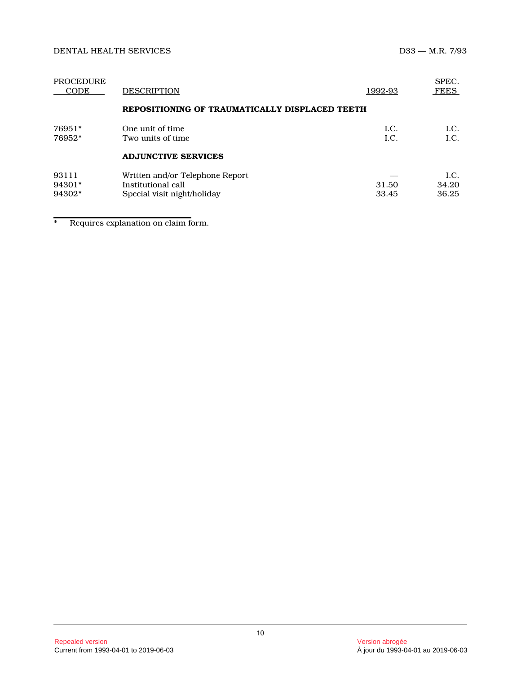| <b>PROCEDURE</b><br>CODE  | <b>DESCRIPTION</b><br>1992-93                                                        |                | SPEC.<br><b>FEES</b>  |
|---------------------------|--------------------------------------------------------------------------------------|----------------|-----------------------|
|                           | REPOSITIONING OF TRAUMATICALLY DISPLACED TEETH                                       |                |                       |
| 76951*<br>76952*          | One unit of time<br>Two units of time                                                | LC.<br>LC.     | LC.<br>LC.            |
|                           | <b>ADJUNCTIVE SERVICES</b>                                                           |                |                       |
| 93111<br>94301*<br>94302* | Written and/or Telephone Report<br>Institutional call<br>Special visit night/holiday | 31.50<br>33.45 | LC.<br>34.20<br>36.25 |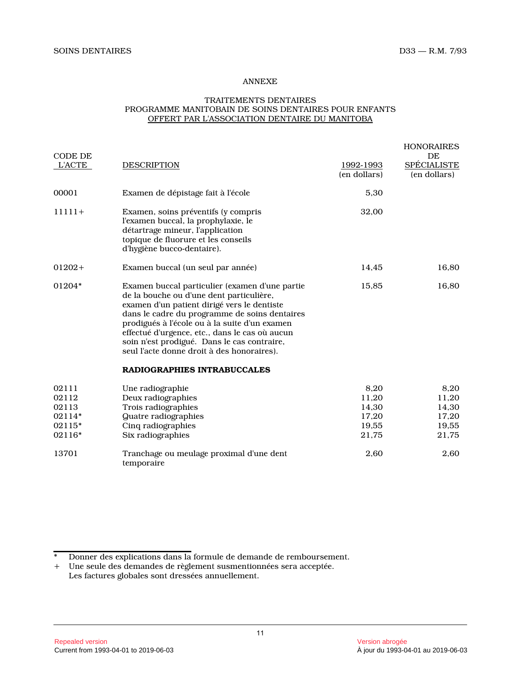# ANNEXE

# TRAITEMENTS DENTAIRES PROGRAMME MANITOBAIN DE SOINS DENTAIRES POUR ENFANT S OFFERT PAR L'ASSOCIATION DENTAIRE DU MANITOBA

| CODE DE       |                                                                                                                                                                                                                                                                                                                                                                                                                           |                           | <b>HONORAIRES</b><br>DE            |
|---------------|---------------------------------------------------------------------------------------------------------------------------------------------------------------------------------------------------------------------------------------------------------------------------------------------------------------------------------------------------------------------------------------------------------------------------|---------------------------|------------------------------------|
| <b>L'ACTE</b> | <b>DESCRIPTION</b>                                                                                                                                                                                                                                                                                                                                                                                                        | 1992-1993<br>(en dollars) | <b>SPÉCIALISTE</b><br>(en dollars) |
| 00001         | Examen de dépistage fait à l'école                                                                                                                                                                                                                                                                                                                                                                                        | 5,30                      |                                    |
| $11111+$      | Examen, soins préventifs (y compris<br>l'examen buccal, la prophylaxie, le<br>détartrage mineur, l'application<br>topique de fluorure et les conseils<br>d'hygiène bucco-dentaire).                                                                                                                                                                                                                                       | 32,00                     |                                    |
| $01202+$      | Examen buccal (un seul par année)                                                                                                                                                                                                                                                                                                                                                                                         | 14,45                     | 16,80                              |
| 01204*        | Examen buccal particulier (examen d'une partie<br>de la bouche ou d'une dent particulière,<br>examen d'un patient dirigé vers le dentiste<br>dans le cadre du programme de soins dentaires<br>prodigués à l'école ou à la suite d'un examen<br>effectué d'urgence, etc., dans le cas où aucun<br>soin n'est prodigué. Dans le cas contraire,<br>seul l'acte donne droit à des honoraires).<br>RADIOGRAPHIES INTRABUCCALES | 15,85                     | 16,80                              |
| 02111         | Une radiographie                                                                                                                                                                                                                                                                                                                                                                                                          | 8,20                      | 8,20                               |
| 02112         | Deux radiographies                                                                                                                                                                                                                                                                                                                                                                                                        | 11,20                     | 11,20                              |
| 02113         | Trois radiographies                                                                                                                                                                                                                                                                                                                                                                                                       | 14,30                     | 14,30                              |
| 02114*        | Quatre radiographies                                                                                                                                                                                                                                                                                                                                                                                                      | 17,20                     | 17,20                              |
| 02115*        | Cinq radiographies                                                                                                                                                                                                                                                                                                                                                                                                        | 19,55                     | 19,55                              |
| 02116*        | Six radiographies                                                                                                                                                                                                                                                                                                                                                                                                         | 21,75                     | 21,75                              |
| 13701         | Tranchage ou meulage proximal d'une dent<br>temporaire                                                                                                                                                                                                                                                                                                                                                                    | 2,60                      | 2,60                               |

<sup>\*</sup> Donner des explications dans la formule de demande de remboursement.

<sup>+</sup> Une seule des demandes de règlement susmentionnées sera acceptée. Les factures globales sont dressées annuellement.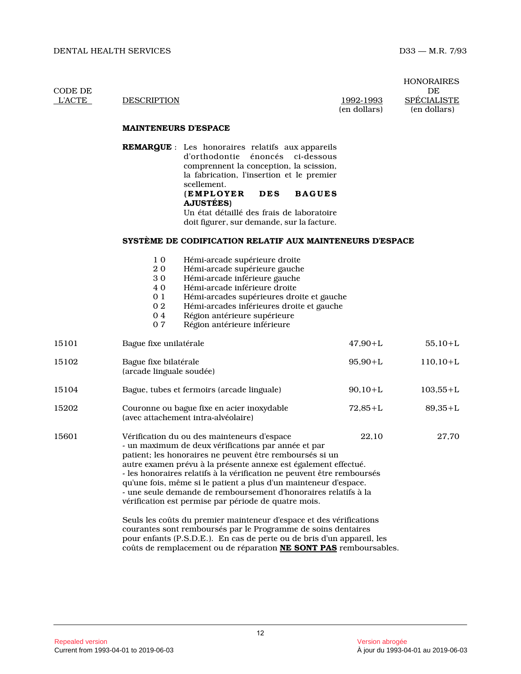HONORAIRES L'ACTE DESCRIPTION 1992-1993 SPÉCIALISTE (en dollars) (en dollars)

CODE DE DE

**MAINTENEURS D'ESPACE**

**REMARQUE** : Les honoraires relatifs aux appareils d'orthodontie énoncés ci-dessous comprennent la conception, la scission, la fabrication, l'insertion et le premier scellement. **(EMPLOYER DES BAGUES AJUSTÉES)** Un état détaillé des frais de laboratoire doit figurer, sur demande, sur la facture.

### **SYSTÈME DE CODIFICATION RELATIF AUX MAINTENEURS D'ESPACE**

| 1 <sub>0</sub> |  | Hémi-arcade supérieure droite |  |  |
|----------------|--|-------------------------------|--|--|
|----------------|--|-------------------------------|--|--|

- 20 Hémi-arcade supérieure gauche<br>30 Hémi-arcade inférieure gauche
- Hémi-arcade inférieure gauche
- 
- 4 0 Hémi-arcade inférieure droite<br>0 1 Hémi-arcades supérieures dro
- 0 1 Hémi-arcades supérieures droite et gauche<br>0 2 Hémi-arcades inférieures droite et gauche
- 0 2 Hémi-arcades inférieures droite et gauche<br>0 4 Région antérieure supérieure
- 0 4 Région antérieure supérieure<br>0 7 Région antérieure inférieure Région antérieure inférieure

| 15101 | Bague fixe unilatérale                                                                                                                                                                                                                                                                                                                                                                                                                                                                                                                                                                                                                             | $47,90 + L$ | $55,10+L$   |
|-------|----------------------------------------------------------------------------------------------------------------------------------------------------------------------------------------------------------------------------------------------------------------------------------------------------------------------------------------------------------------------------------------------------------------------------------------------------------------------------------------------------------------------------------------------------------------------------------------------------------------------------------------------------|-------------|-------------|
| 15102 | Bague fixe bilatérale<br>(arcade linguale soudée)                                                                                                                                                                                                                                                                                                                                                                                                                                                                                                                                                                                                  | $95,90+L$   | $110,10+L$  |
| 15104 | Bague, tubes et fermoirs (arcade linguale)                                                                                                                                                                                                                                                                                                                                                                                                                                                                                                                                                                                                         | $90,10+L$   | $103,55+L$  |
| 15202 | Couronne ou bague fixe en acier inoxydable<br>(avec attachement intra-alvéolaire)                                                                                                                                                                                                                                                                                                                                                                                                                                                                                                                                                                  | $72,85 + L$ | $89,35 + L$ |
| 15601 | Vérification du ou des mainteneurs d'espace<br>- un maximum de deux vérifications par année et par<br>patient; les honoraires ne peuvent être remboursés si un<br>autre examen prévu à la présente annexe est également effectué.<br>- les honoraires relatifs à la vérification ne peuvent être remboursés<br>qu'une fois, même si le patient a plus d'un mainteneur d'espace.<br>- une seule demande de remboursement d'honoraires relatifs à la<br>vérification est permise par période de quatre mois.<br>Seuls les coûts du premier mainteneur d'espace et des vérifications<br>courantes sont remboursés par le Programme de soins dentaires | 22,10       | 27,70       |

pour enfants (P.S.D.E.). En cas de perte ou de bris d'un appareil, les coûts de remplacement ou de réparation **NE SONT PAS** remboursables.

Repealed version version abrogée version abrogée version abrogée version abrogée version abrogée version abrogée version abrogée version abrogée version abrogée version abrogée version abrogée version abrogée version abrog Current from 1993-04-01 to 2019-06-03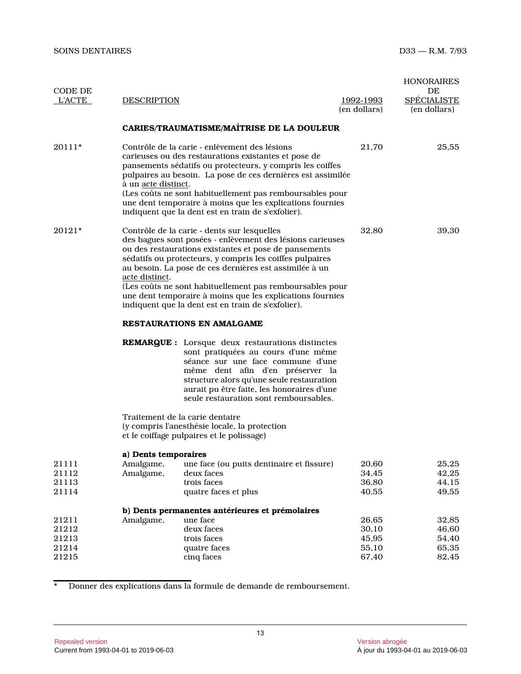| CODE DE<br><b>L'ACTE</b>                  | <b>DESCRIPTION</b>                             |                                                                                                                                                                                                                                                                                                                                                                                                                                                                        | <u> 1992-1993</u><br>(en dollars)         | <b>HONORAIRES</b><br>DE<br><b>SPÉCIALISTE</b><br>(en dollars) |  |  |
|-------------------------------------------|------------------------------------------------|------------------------------------------------------------------------------------------------------------------------------------------------------------------------------------------------------------------------------------------------------------------------------------------------------------------------------------------------------------------------------------------------------------------------------------------------------------------------|-------------------------------------------|---------------------------------------------------------------|--|--|
|                                           |                                                | CARIES/TRAUMATISME/MAÎTRISE DE LA DOULEUR                                                                                                                                                                                                                                                                                                                                                                                                                              |                                           |                                                               |  |  |
| $20111*$                                  | à un <i>acte distinct</i> .                    | Contrôle de la carie - enlèvement des lésions<br>carieuses ou des restaurations existantes et pose de<br>pansements sédatifs ou protecteurs, y compris les coiffes<br>pulpaires au besoin. La pose de ces dernières est assimilée<br>(Les coûts ne sont habituellement pas remboursables pour<br>une dent temporaire à moins que les explications fournies<br>indiquent que la dent est en train de s'exfolier).                                                       | 21,70                                     | 25,55                                                         |  |  |
| 20121*                                    | acte distinct.                                 | Contrôle de la carie - dents sur lesquelles<br>des bagues sont posées - enlèvement des lésions carieuses<br>ou des restaurations existantes et pose de pansements<br>sédatifs ou protecteurs, y compris les coiffes pulpaires<br>au besoin. La pose de ces dernières est assimilée à un<br>(Les coûts ne sont habituellement pas remboursables pour<br>une dent temporaire à moins que les explications fournies<br>indiquent que la dent est en train de s'exfolier). | 32,80                                     | 39,30                                                         |  |  |
|                                           | <b>RESTAURATIONS EN AMALGAME</b>               |                                                                                                                                                                                                                                                                                                                                                                                                                                                                        |                                           |                                                               |  |  |
|                                           |                                                | <b>REMARQUE:</b> Lorsque deux restaurations distinctes<br>sont pratiquées au cours d'une même<br>séance sur une face commune d'une<br>même dent afin d'en préserver la<br>structure alors qu'une seule restauration<br>aurait pu être faite, les honoraires d'une<br>seule restauration sont remboursables.                                                                                                                                                            |                                           |                                                               |  |  |
|                                           |                                                | Traitement de la carie dentaire<br>(y compris l'anesthésie locale, la protection<br>et le coiffage pulpaires et le polissage)                                                                                                                                                                                                                                                                                                                                          |                                           |                                                               |  |  |
| 21111<br>21112<br>21113<br>21114          | a) Dents temporaires<br>Amalgame,<br>Amalgame, | une face (ou puits dentinaire et fissure)<br>deux faces<br>trois faces<br>quatre faces et plus                                                                                                                                                                                                                                                                                                                                                                         | 20,60<br>34,45<br>36,80<br>40,55          | 25,25<br>42,25<br>44,15<br>49,55                              |  |  |
| 21211<br>21212<br>21213<br>21214<br>21215 | Amalgame,                                      | b) Dents permanentes antérieures et prémolaires<br>une face<br>deux faces<br>trois faces<br>quatre faces<br>cinq faces                                                                                                                                                                                                                                                                                                                                                 | 26,65<br>30,10<br>45,95<br>55,10<br>67,40 | 32,85<br>46,60<br>54,40<br>65,35<br>82,45                     |  |  |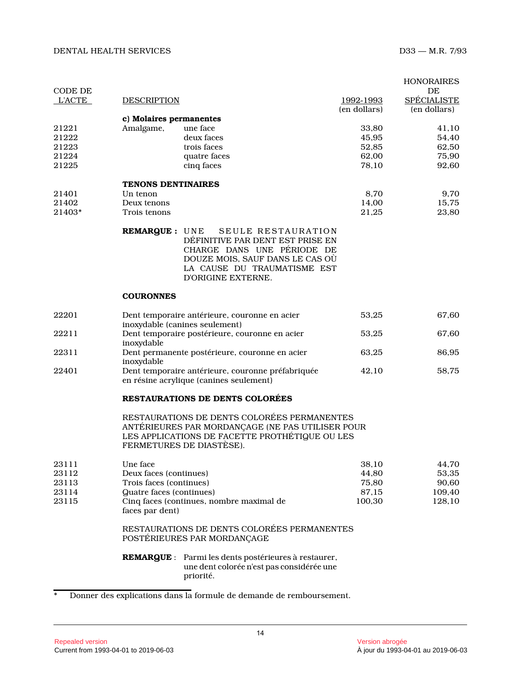| CODE DE        |                           |                                                                                                                                                                               |                | <b>HONORAIRES</b><br>DE |
|----------------|---------------------------|-------------------------------------------------------------------------------------------------------------------------------------------------------------------------------|----------------|-------------------------|
| <b>L'ACTE</b>  | <b>DESCRIPTION</b>        |                                                                                                                                                                               | 1992-1993      | <b>SPÉCIALISTE</b>      |
|                |                           |                                                                                                                                                                               | (en dollars)   | (en dollars)            |
|                | c) Molaires permanentes   |                                                                                                                                                                               |                |                         |
| 21221<br>21222 | Amalgame,                 | une face<br>deux faces                                                                                                                                                        | 33,80<br>45,95 | 41,10<br>54,40          |
| 21223          |                           | trois faces                                                                                                                                                                   | 52,85          | 62,50                   |
| 21224          |                           | quatre faces                                                                                                                                                                  | 62,00          | 75,90                   |
| 21225          |                           | cinq faces                                                                                                                                                                    | 78,10          | 92,60                   |
|                |                           |                                                                                                                                                                               |                |                         |
|                | <b>TENONS DENTINAIRES</b> |                                                                                                                                                                               |                |                         |
| 21401          | Un tenon                  |                                                                                                                                                                               | 8,70           | 9,70                    |
| 21402          | Deux tenons               |                                                                                                                                                                               | 14,00          | 15,75                   |
| 21403*         | Trois tenons              |                                                                                                                                                                               | 21,25          | 23,80                   |
|                | <b>REMARQUE: UNE</b>      | SEULE RESTAURATION<br>DÉFINITIVE PAR DENT EST PRISE EN<br>CHARGE DANS UNE PÉRIODE DE<br>DOUZE MOIS, SAUF DANS LE CAS OÙ<br>LA CAUSE DU TRAUMATISME EST<br>D'ORIGINE EXTERNE.  |                |                         |
|                | <b>COURONNES</b>          |                                                                                                                                                                               |                |                         |
| 22201          |                           | Dent temporaire antérieure, couronne en acier<br>inoxydable (canines seulement)                                                                                               | 53,25          | 67,60                   |
| 22211          | inoxydable                | Dent temporaire postérieure, couronne en acier                                                                                                                                | 53,25          | 67,60                   |
| 22311          | inoxydable                | Dent permanente postérieure, couronne en acier                                                                                                                                | 63,25          | 86,95                   |
| 22401          |                           | Dent temporaire antérieure, couronne préfabriquée<br>en résine acrylique (canines seulement)                                                                                  | 42,10          | 58,75                   |
|                |                           | <b>RESTAURATIONS DE DENTS COLORÉES</b>                                                                                                                                        |                |                         |
|                |                           | RESTAURATIONS DE DENTS COLORÉES PERMANENTES<br>ANTÉRIEURES PAR MORDANÇAGE (NE PAS UTILISER POUR<br>LES APPLICATIONS DE FACETTE PROTHÉTIQUE OU LES<br>FERMETURES DE DIASTÈSE). |                |                         |
| 23111          | Une face                  |                                                                                                                                                                               | 38,10          | 44,70                   |
| 23112          | Deux faces (continues)    |                                                                                                                                                                               | 44,80          | 53,35                   |
| 23113          | Trois faces (continues)   |                                                                                                                                                                               | 75,80          | 90,60                   |
| 23114          | Quatre faces (continues)  |                                                                                                                                                                               | 87,15          | 109,40                  |
| 23115          | faces par dent)           | Cinq faces (continues, nombre maximal de                                                                                                                                      | 100,30         | 128,10                  |
|                |                           | RESTAURATIONS DE DENTS COLORÉES PERMANENTES<br>POSTÉRIEURES PAR MORDANÇAGE                                                                                                    |                |                         |
|                | <b>REMARQUE:</b>          | Parmi les dents postérieures à restaurer,<br>une dent colorée n'est pas considérée une<br>priorité.                                                                           |                |                         |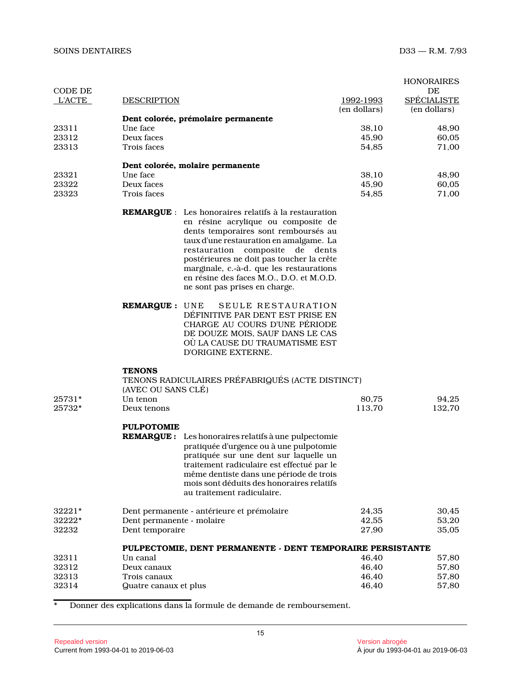| CODE DE       |                           |                                                                                                                                                                                                                                                                                                                                                                                                   |              | <b>HONORAIRES</b><br>DE            |
|---------------|---------------------------|---------------------------------------------------------------------------------------------------------------------------------------------------------------------------------------------------------------------------------------------------------------------------------------------------------------------------------------------------------------------------------------------------|--------------|------------------------------------|
| <b>L'ACTE</b> | <b>DESCRIPTION</b>        |                                                                                                                                                                                                                                                                                                                                                                                                   | 1992-1993    | <b>SPÉCIALISTE</b><br>(en dollars) |
|               |                           | Dent colorée, prémolaire permanente                                                                                                                                                                                                                                                                                                                                                               | (en dollars) |                                    |
| 23311         | Une face                  |                                                                                                                                                                                                                                                                                                                                                                                                   | 38.10        | 48,90                              |
| 23312         | Deux faces                |                                                                                                                                                                                                                                                                                                                                                                                                   | 45,90        | 60,05                              |
| 23313         | Trois faces               |                                                                                                                                                                                                                                                                                                                                                                                                   | 54,85        | 71,00                              |
|               |                           | Dent colorée, molaire permanente                                                                                                                                                                                                                                                                                                                                                                  |              |                                    |
| 23321         | Une face                  |                                                                                                                                                                                                                                                                                                                                                                                                   | 38,10        | 48,90                              |
| 23322         | Deux faces                |                                                                                                                                                                                                                                                                                                                                                                                                   | 45,90        | 60,05                              |
| 23323         | Trois faces               |                                                                                                                                                                                                                                                                                                                                                                                                   | 54,85        | 71,00                              |
|               |                           | <b>REMARQUE</b> : Les honoraires relatifs à la restauration<br>en résine acrylique ou composite de<br>dents temporaires sont remboursés au<br>taux d'une restauration en amalgame. La<br>restauration composite<br>de dents<br>postérieures ne doit pas toucher la crête<br>marginale, c.-à-d. que les restaurations<br>en résine des faces M.O., D.O. et M.O.D.<br>ne sont pas prises en charge. |              |                                    |
|               | <b>REMARQUE: UNE</b>      | SEULE RESTAURATION<br>DEFINITIVE PAR DENT EST PRISE EN<br>CHARGE AU COURS D'UNE PÉRIODE<br>DE DOUZE MOIS, SAUF DANS LE CAS<br>OÙ LA CAUSE DU TRAUMATISME EST<br>D'ORIGINE EXTERNE.                                                                                                                                                                                                                |              |                                    |
|               | <b>TENONS</b>             |                                                                                                                                                                                                                                                                                                                                                                                                   |              |                                    |
|               |                           | TENONS RADICULAIRES PRÉFABRIQUÉS (ACTE DISTINCT)                                                                                                                                                                                                                                                                                                                                                  |              |                                    |
|               | (AVEC OU SANS CLÉ)        |                                                                                                                                                                                                                                                                                                                                                                                                   |              |                                    |
| 25731*        | Un tenon                  |                                                                                                                                                                                                                                                                                                                                                                                                   | 80,75        | 94,25                              |
| 25732*        | Deux tenons               |                                                                                                                                                                                                                                                                                                                                                                                                   | 113,70       | 132,70                             |
|               | <b>PULPOTOMIE</b>         |                                                                                                                                                                                                                                                                                                                                                                                                   |              |                                    |
|               |                           | <b>REMARQUE :</b> Les honoraires relatifs à une pulpectomie<br>pratiquée d'urgence ou à une pulpotomie<br>pratiquée sur une dent sur laquelle un<br>traitement radiculaire est effectué par le<br>même dentiste dans une période de trois<br>mois sont déduits des honoraires relatifs<br>au traitement radiculaire.                                                                              |              |                                    |
| 32221*        |                           | Dent permanente - antérieure et prémolaire                                                                                                                                                                                                                                                                                                                                                        | 24,35        | 30,45                              |
| 32222*        | Dent permanente - molaire |                                                                                                                                                                                                                                                                                                                                                                                                   | 42,55        | 53,20                              |
| 32232         | Dent temporaire           |                                                                                                                                                                                                                                                                                                                                                                                                   | 27,90        | 35,05                              |
|               |                           | PULPECTOMIE, DENT PERMANENTE - DENT TEMPORAIRE PERSISTANTE                                                                                                                                                                                                                                                                                                                                        |              |                                    |
| 32311         | Un canal                  |                                                                                                                                                                                                                                                                                                                                                                                                   | 46,40        | 57,80                              |
| 32312         | Deux canaux               |                                                                                                                                                                                                                                                                                                                                                                                                   | 46,40        | 57,80                              |
| 32313         | Trois canaux              |                                                                                                                                                                                                                                                                                                                                                                                                   | 46,40        | 57,80                              |
| 32314         | Quatre canaux et plus     |                                                                                                                                                                                                                                                                                                                                                                                                   | 46,40        | 57,80                              |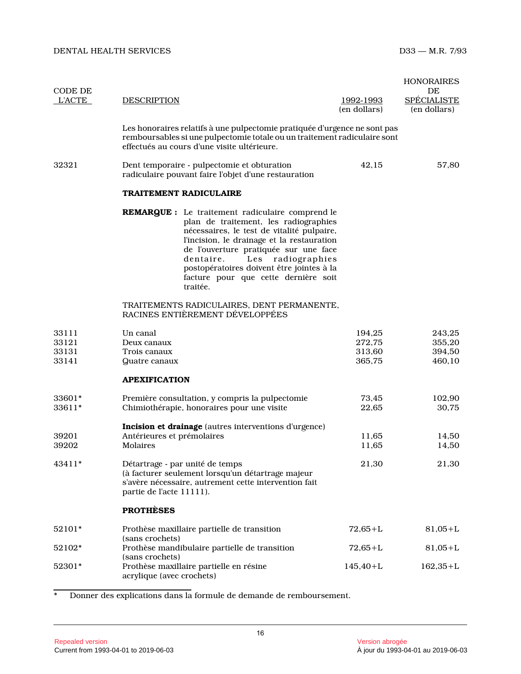| CODE DE          |                                        |                                                                                                                                                                                                                                                                                                                                                                          |                                  | <b>HONORAIRES</b><br>DE            |
|------------------|----------------------------------------|--------------------------------------------------------------------------------------------------------------------------------------------------------------------------------------------------------------------------------------------------------------------------------------------------------------------------------------------------------------------------|----------------------------------|------------------------------------|
| <b>L'ACTE</b>    | <b>DESCRIPTION</b>                     |                                                                                                                                                                                                                                                                                                                                                                          | <u>1992-1993</u><br>(en dollars) | <b>SPÉCIALISTE</b><br>(en dollars) |
|                  |                                        | Les honoraires relatifs à une pulpectomie pratiquée d'urgence ne sont pas<br>remboursables si une pulpectomie totale ou un traitement radiculaire sont<br>effectués au cours d'une visite ultérieure.                                                                                                                                                                    |                                  |                                    |
| 32321            |                                        | Dent temporaire - pulpectomie et obturation<br>radiculaire pouvant faire l'objet d'une restauration                                                                                                                                                                                                                                                                      | 42,15                            | 57,80                              |
|                  |                                        | <b>TRAITEMENT RADICULAIRE</b>                                                                                                                                                                                                                                                                                                                                            |                                  |                                    |
|                  |                                        | <b>REMARQUE :</b> Le traitement radiculaire comprend le<br>plan de traitement, les radiographies<br>nécessaires, le test de vitalité pulpaire,<br>l'incision, le drainage et la restauration<br>de l'ouverture pratiquée sur une face<br>Les radiographies<br>dentaire.<br>postopératoires doivent être jointes à la<br>facture pour que cette dernière soit<br>traitée. |                                  |                                    |
|                  |                                        | TRAITEMENTS RADICULAIRES, DENT PERMANENTE,<br>RACINES ENTIÈREMENT DÉVELOPPÉES                                                                                                                                                                                                                                                                                            |                                  |                                    |
| 33111<br>33121   | Un canal<br>Deux canaux                |                                                                                                                                                                                                                                                                                                                                                                          | 194,25<br>272,75                 | 243,25<br>355,20                   |
| 33131            | Trois canaux                           |                                                                                                                                                                                                                                                                                                                                                                          | 313,60                           | 394,50                             |
| 33141            | Quatre canaux                          |                                                                                                                                                                                                                                                                                                                                                                          | 365,75                           | 460,10                             |
|                  | <b>APEXIFICATION</b>                   |                                                                                                                                                                                                                                                                                                                                                                          |                                  |                                    |
| 33601*<br>33611* |                                        | Première consultation, y compris la pulpectomie<br>Chimiothérapie, honoraires pour une visite                                                                                                                                                                                                                                                                            | 73,45<br>22,65                   | 102,90<br>30,75                    |
|                  |                                        | Incision et drainage (autres interventions d'urgence)                                                                                                                                                                                                                                                                                                                    |                                  |                                    |
| 39201<br>39202   | Antérieures et prémolaires<br>Molaires |                                                                                                                                                                                                                                                                                                                                                                          | 11,65<br>11,65                   | 14,50<br>14,50                     |
| 43411*           | partie de l'acte 11111).               | Détartrage - par unité de temps<br>(à facturer seulement lorsqu'un détartrage majeur<br>s'avère nécessaire, autrement cette intervention fait                                                                                                                                                                                                                            | 21,30                            | 21,30                              |
|                  | <b>PROTHÈSES</b>                       |                                                                                                                                                                                                                                                                                                                                                                          |                                  |                                    |
| 52101*           | (sans crochets)                        | Prothèse maxillaire partielle de transition                                                                                                                                                                                                                                                                                                                              | $72,65 + L$                      | $81,05+L$                          |
| 52102*           | (sans crochets)                        | Prothèse mandibulaire partielle de transition                                                                                                                                                                                                                                                                                                                            | $72,65 + L$                      | $81,05+L$                          |
| 52301*           | acrylique (avec crochets)              | Prothèse maxillaire partielle en résine                                                                                                                                                                                                                                                                                                                                  | $145,40+L$                       | $162,35+L$                         |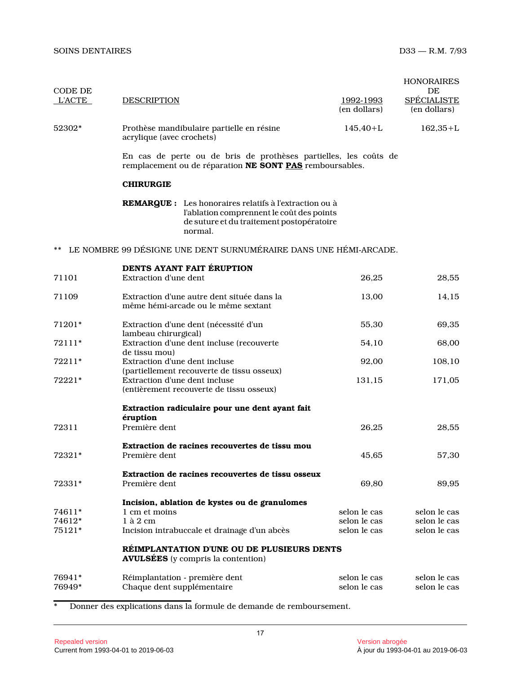| CODE DE          |                               |                                                                                                                                                             |                                                                  | <b>HONORAIRES</b><br>DE            |
|------------------|-------------------------------|-------------------------------------------------------------------------------------------------------------------------------------------------------------|------------------------------------------------------------------|------------------------------------|
| <b>L'ACTE</b>    | <b>DESCRIPTION</b>            |                                                                                                                                                             | 1992-1993<br>(en dollars)                                        | <b>SPÉCIALISTE</b><br>(en dollars) |
| 52302*           | acrylique (avec crochets)     | Prothèse mandibulaire partielle en résine                                                                                                                   | $145,40+L$                                                       | $162,35+L$                         |
|                  |                               | remplacement ou de réparation NE SONT PAS remboursables.                                                                                                    | En cas de perte ou de bris de prothèses partielles, les coûts de |                                    |
|                  | <b>CHIRURGIE</b>              |                                                                                                                                                             |                                                                  |                                    |
|                  |                               | REMARQUE : Les honoraires relatifs à l'extraction ou à<br>l'ablation comprennent le coût des points<br>de suture et du traitement postopératoire<br>normal. |                                                                  |                                    |
|                  |                               |                                                                                                                                                             | LE NOMBRE 99 DÉSIGNE UNE DENT SURNUMÉRAIRE DANS UNE HÉMI-ARCADE. |                                    |
| 71101            | <b>Extraction d'une dent</b>  | DENTS AYANT FAIT ÉRUPTION                                                                                                                                   | 26,25                                                            | 28,55                              |
| 71109            |                               | Extraction d'une autre dent située dans la<br>même hémi-arcade ou le même sextant                                                                           | 13,00                                                            | 14,15                              |
| 71201*           | lambeau chirurgical)          | Extraction d'une dent (nécessité d'un                                                                                                                       | 55,30                                                            | 69,35                              |
| 72111*           | de tissu mou)                 | Extraction d'une dent incluse (recouverte                                                                                                                   | 54,10                                                            | 68,00                              |
| 72211*           | Extraction d'une dent incluse | (partiellement recouverte de tissu osseux)                                                                                                                  | 92,00                                                            | 108,10                             |
| 72221*           | Extraction d'une dent incluse | (entièrement recouverte de tissu osseux)                                                                                                                    | 131,15                                                           | 171,05                             |
|                  | éruption                      | Extraction radiculaire pour une dent ayant fait                                                                                                             |                                                                  |                                    |
| 72311            | Première dent                 |                                                                                                                                                             | 26,25                                                            | 28,55                              |
| 72321*           | Première dent                 | Extraction de racines recouvertes de tissu mou                                                                                                              | 45,65                                                            | 57,30                              |
| 72331*           | Première dent                 | Extraction de racines recouvertes de tissu osseux                                                                                                           | 69,80                                                            | 89,95                              |
|                  |                               | Incision, ablation de kystes ou de granulomes                                                                                                               |                                                                  |                                    |
| 74611*           | 1 cm et moins                 |                                                                                                                                                             | selon le cas                                                     | selon le cas                       |
| 74612*           | $1$ à $2$ cm                  |                                                                                                                                                             | selon le cas                                                     | selon le cas                       |
| 75121*           |                               | Incision intrabuccale et drainage d'un abcès                                                                                                                | selon le cas                                                     | selon le cas                       |
|                  |                               | RÉIMPLANTATION D'UNE OU DE PLUSIEURS DENTS<br><b>AVULSÉES</b> (y compris la contention)                                                                     |                                                                  |                                    |
| 76941*<br>76949* | Chaque dent supplémentaire    | Réimplantation - première dent                                                                                                                              | selon le cas<br>selon le cas                                     | selon le cas<br>selon le cas       |
|                  |                               |                                                                                                                                                             |                                                                  |                                    |